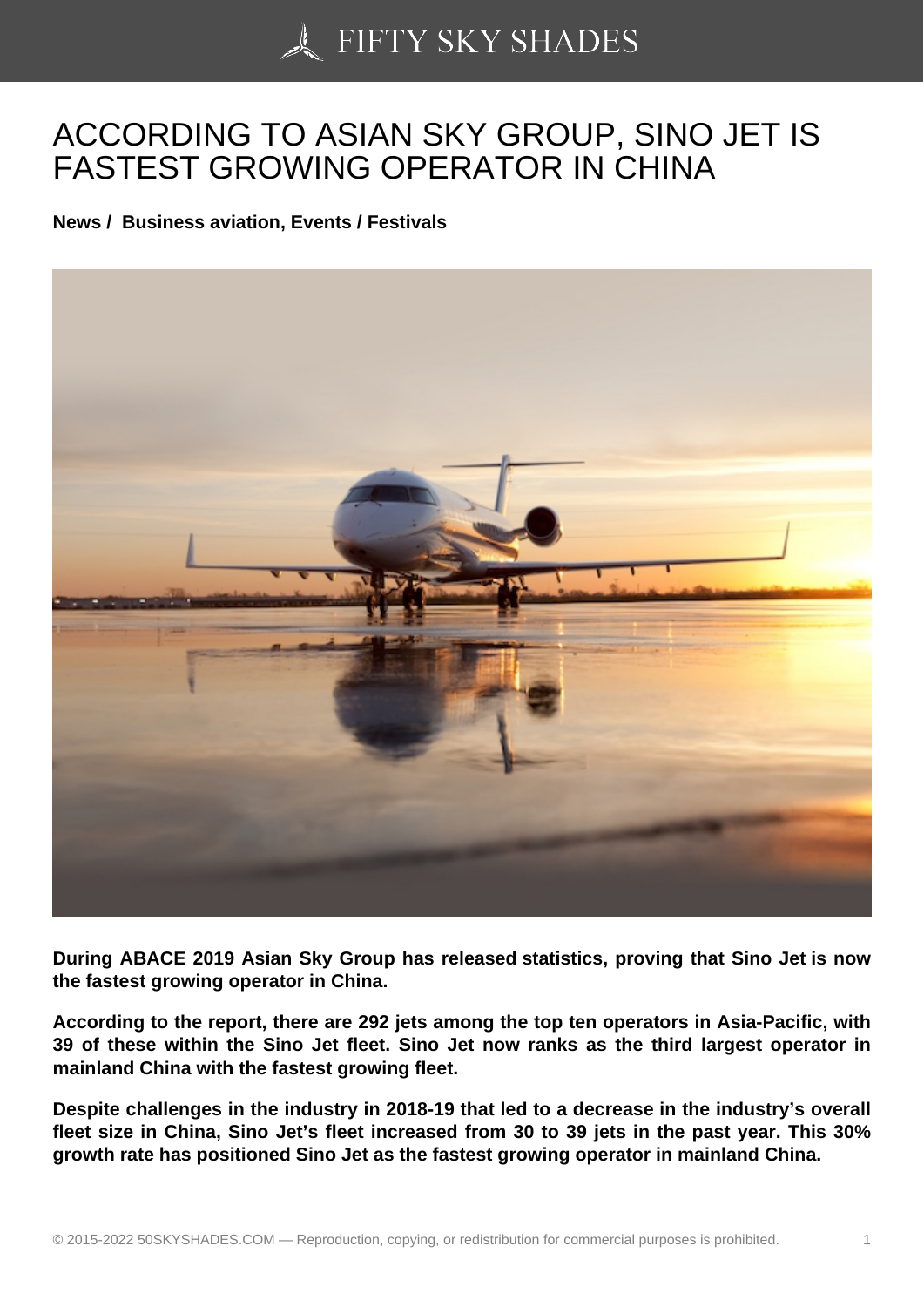## [ACCORDING TO ASIA](https://50skyshades.com)N SKY GROUP, SINO JET IS FASTEST GROWING OPERATOR IN CHINA

News / Business aviation, Events / Festivals

During ABACE 2019 Asian Sky Group has released statistics, proving that Sino Jet is now the fastest growing operator in China.

According to the report, there are 292 jets among the top ten operators in Asia-Pacific, with 39 of these within the Sino Jet fleet. Sino Jet now ranks as the third largest operator in mainland China with the fastest growing fleet.

Despite challenges in the industry in 2018-19 that led to a decrease in the industry's overall fleet size in China, Sino Jet's fleet increased from 30 to 39 jets in the past year. This 30% growth rate has positioned Sino Jet as the fastest growing operator in mainland China.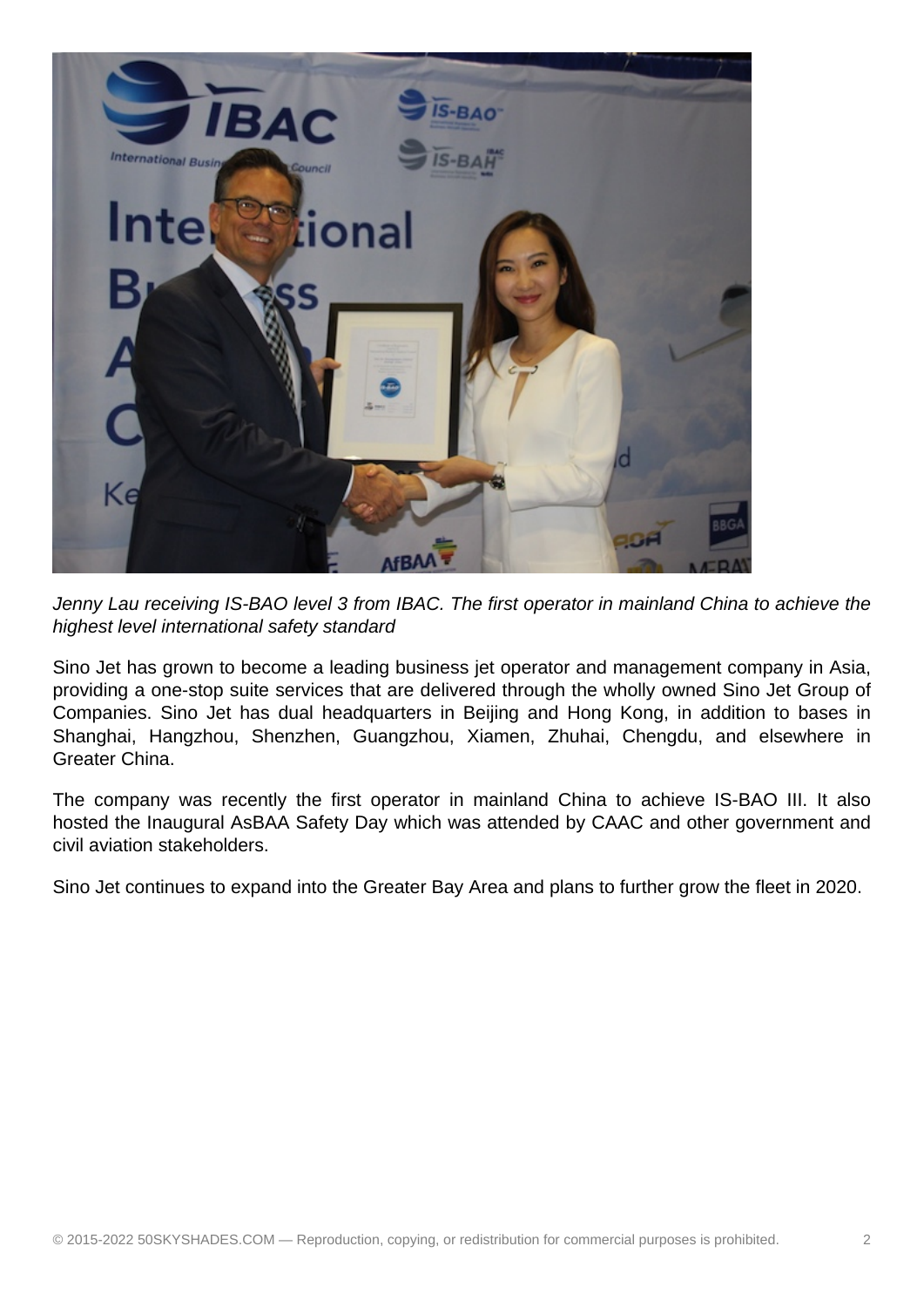

Jenny Lau receiving IS-BAO level 3 from IBAC. The first operator in mainland China to achieve the highest level international safety standard

Sino Jet has grown to become a leading business jet operator and management company in Asia, providing a one-stop suite services that are delivered through the wholly owned Sino Jet Group of Companies. Sino Jet has dual headquarters in Beijing and Hong Kong, in addition to bases in Shanghai, Hangzhou, Shenzhen, Guangzhou, Xiamen, Zhuhai, Chengdu, and elsewhere in Greater China.

The company was recently the first operator in mainland China to achieve IS-BAO III. It also hosted the Inaugural AsBAA Safety Day which was attended by CAAC and other government and civil aviation stakeholders.

Sino Jet continues to expand into the Greater Bay Area and plans to further grow the fleet in 2020.